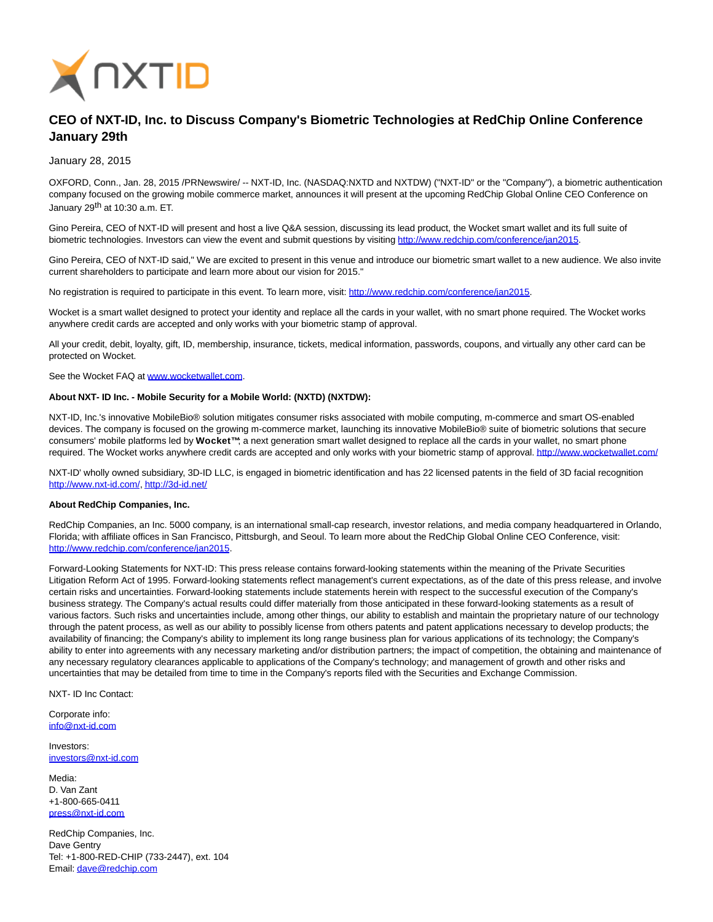

## **CEO of NXT-ID, Inc. to Discuss Company's Biometric Technologies at RedChip Online Conference January 29th**

January 28, 2015

OXFORD, Conn., Jan. 28, 2015 /PRNewswire/ -- NXT-ID, Inc. (NASDAQ:NXTD and NXTDW) ("NXT-ID" or the "Company"), a biometric authentication company focused on the growing mobile commerce market, announces it will present at the upcoming RedChip Global Online CEO Conference on January 29<sup>th</sup> at 10:30 a.m. ET.

Gino Pereira, CEO of NXT-ID will present and host a live Q&A session, discussing its lead product, the Wocket smart wallet and its full suite of biometric technologies. Investors can view the event and submit questions by visiting [http://www.redchip.com/conference/jan2015.](http://www.redchip.com/conference/jan2015)

Gino Pereira, CEO of NXT-ID said," We are excited to present in this venue and introduce our biometric smart wallet to a new audience. We also invite current shareholders to participate and learn more about our vision for 2015."

No registration is required to participate in this event. To learn more, visit: [http://www.redchip.com/conference/jan2015.](http://www.redchip.com/conference/jan2015)

Wocket is a smart wallet designed to protect your identity and replace all the cards in your wallet, with no smart phone required. The Wocket works anywhere credit cards are accepted and only works with your biometric stamp of approval.

All your credit, debit, loyalty, gift, ID, membership, insurance, tickets, medical information, passwords, coupons, and virtually any other card can be protected on Wocket.

See the Wocket FAQ at [www.wocketwallet.com.](http://www.wocketwallet.com/) 

## **About NXT- ID Inc. - Mobile Security for a Mobile World: (NXTD) (NXTDW):**

NXT-ID, Inc.'s innovative MobileBio® solution mitigates consumer risks associated with mobile computing, m-commerce and smart OS-enabled devices. The company is focused on the growing m-commerce market, launching its innovative MobileBio® suite of biometric solutions that secure consumers' mobile platforms led by **Wocket™**; a next generation smart wallet designed to replace all the cards in your wallet, no smart phone required. The Wocket works anywhere credit cards are accepted and only works with your biometric stamp of approval[. http://www.wocketwallet.com/](http://www.wocketwallet.com/)

NXT-ID' wholly owned subsidiary, 3D-ID LLC, is engaged in biometric identification and has 22 licensed patents in the field of 3D facial recognition [http://www.nxt-id.com/,](http://www.nxt-id.com/)<http://3d-id.net/>

## **About RedChip Companies, Inc.**

RedChip Companies, an Inc. 5000 company, is an international small-cap research, investor relations, and media company headquartered in Orlando, Florida; with affiliate offices in San Francisco, Pittsburgh, and Seoul. To learn more about the RedChip Global Online CEO Conference, visit: [http://www.redchip.com/conference/jan2015.](http://www.redchip.com/conference/jan2015)

Forward-Looking Statements for NXT-ID: This press release contains forward-looking statements within the meaning of the Private Securities Litigation Reform Act of 1995. Forward-looking statements reflect management's current expectations, as of the date of this press release, and involve certain risks and uncertainties. Forward-looking statements include statements herein with respect to the successful execution of the Company's business strategy. The Company's actual results could differ materially from those anticipated in these forward-looking statements as a result of various factors. Such risks and uncertainties include, among other things, our ability to establish and maintain the proprietary nature of our technology through the patent process, as well as our ability to possibly license from others patents and patent applications necessary to develop products; the availability of financing; the Company's ability to implement its long range business plan for various applications of its technology; the Company's ability to enter into agreements with any necessary marketing and/or distribution partners; the impact of competition, the obtaining and maintenance of any necessary regulatory clearances applicable to applications of the Company's technology; and management of growth and other risks and uncertainties that may be detailed from time to time in the Company's reports filed with the Securities and Exchange Commission.

NXT- ID Inc Contact:

Corporate info: [info@nxt-id.com](mailto:info@nxt-id.com)

Investors: [investors@nxt-id.com](mailto:investors@nxt-id.com)

Media: D. Van Zant +1-800-665-0411 [press@nxt-id.com](mailto:press@nxt-id.com)

RedChip Companies, Inc. Dave Gentry Tel: +1-800-RED-CHIP (733-2447), ext. 104 Email[: dave@redchip.com](mailto:dave@redchip.com)